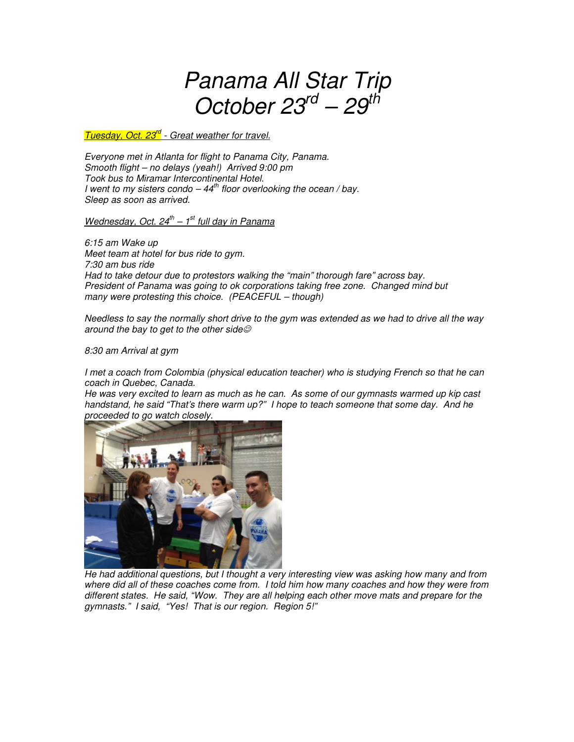# Panama All Star Trip October  $23^{rd}$  –  $29^{th}$

Tuesday, Oct. 23<sup>rd</sup> - Great weather for travel.

Everyone met in Atlanta for flight to Panama City, Panama. Smooth flight – no delays (yeah!) Arrived 9:00 pm Took bus to Miramar Intercontinental Hotel. I went to my sisters condo  $-44<sup>th</sup>$  floor overlooking the ocean / bay. Sleep as soon as arrived.

Wednesday, Oct.  $24^{th} - 1^{st}$  full day in Panama

6:15 am Wake up Meet team at hotel for bus ride to gym. 7:30 am bus ride Had to take detour due to protestors walking the "main" thorough fare" across bay. President of Panama was going to ok corporations taking free zone. Changed mind but many were protesting this choice. (PEACEFUL – though)

Needless to say the normally short drive to the gym was extended as we had to drive all the way around the bay to get to the other side $\mathcal O$ 

8:30 am Arrival at gym

I met a coach from Colombia (physical education teacher) who is studying French so that he can coach in Quebec, Canada.

He was very excited to learn as much as he can. As some of our gymnasts warmed up kip cast handstand, he said "That's there warm up?" I hope to teach someone that some day. And he proceeded to go watch closely.



He had additional questions, but I thought a very interesting view was asking how many and from where did all of these coaches come from. I told him how many coaches and how they were from different states. He said, "Wow. They are all helping each other move mats and prepare for the gymnasts." I said, "Yes! That is our region. Region 5!"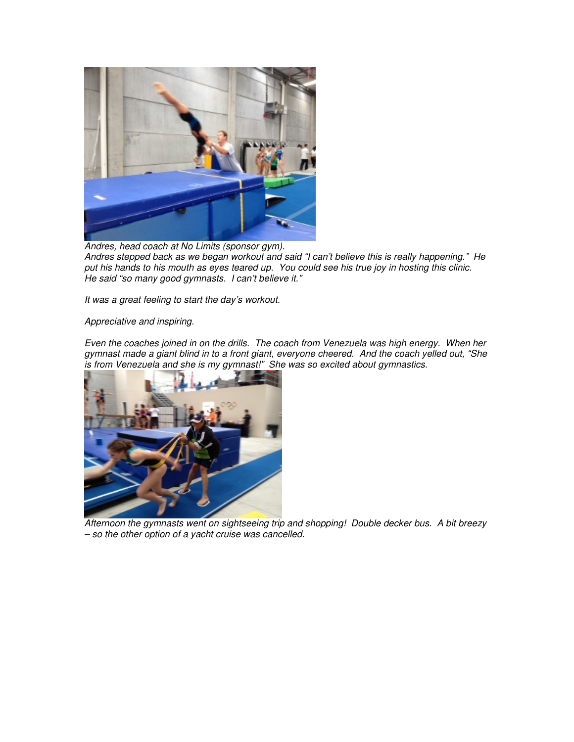

Andres, head coach at No Limits (sponsor gym). Andres stepped back as we began workout and said "I can't believe this is really happening." He put his hands to his mouth as eyes teared up. You could see his true joy in hosting this clinic. He said "so many good gymnasts. I can't believe it."

It was a great feeling to start the day's workout.

### Appreciative and inspiring.

Even the coaches joined in on the drills. The coach from Venezuela was high energy. When her gymnast made a giant blind in to a front giant, everyone cheered. And the coach yelled out, "She is from Venezuela and she is my gymnast!" She was so excited about gymnastics.



Afternoon the gymnasts went on sightseeing trip and shopping! Double decker bus. A bit breezy – so the other option of a yacht cruise was cancelled.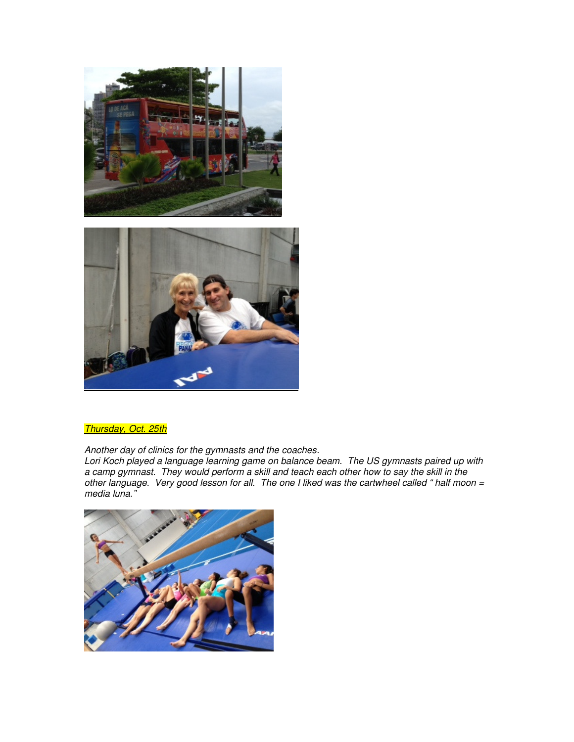



### Thursday, Oct. 25th

Another day of clinics for the gymnasts and the coaches.

Lori Koch played a language learning game on balance beam. The US gymnasts paired up with a camp gymnast. They would perform a skill and teach each other how to say the skill in the other language. Very good lesson for all. The one I liked was the cartwheel called " half moon = media luna."

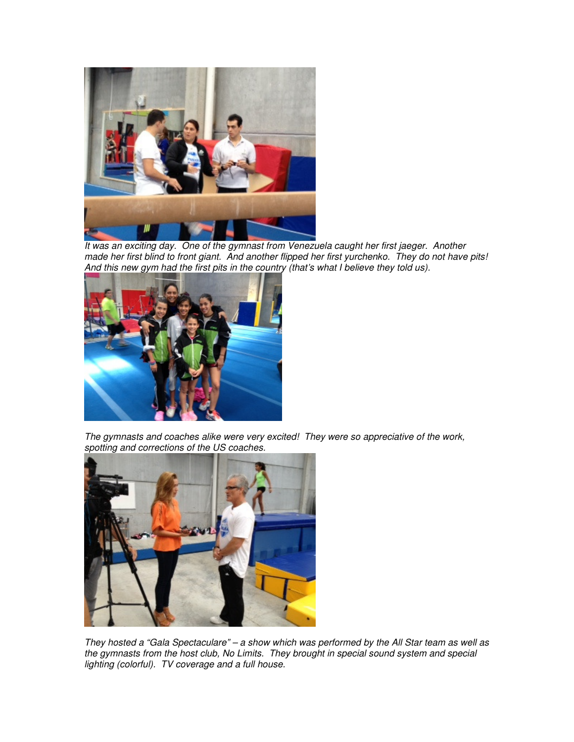

It was an exciting day. One of the gymnast from Venezuela caught her first jaeger. Another made her first blind to front giant. And another flipped her first yurchenko. They do not have pits! And this new gym had the first pits in the country (that's what I believe they told us).



The gymnasts and coaches alike were very excited! They were so appreciative of the work, spotting and corrections of the US coaches.



They hosted a "Gala Spectaculare" – a show which was performed by the All Star team as well as the gymnasts from the host club, No Limits. They brought in special sound system and special lighting (colorful). TV coverage and a full house.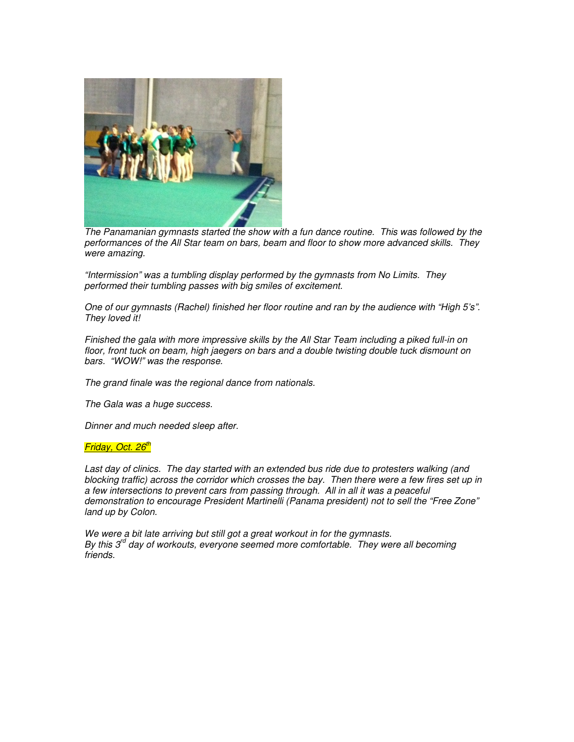

The Panamanian gymnasts started the show with a fun dance routine. This was followed by the performances of the All Star team on bars, beam and floor to show more advanced skills. They were amazing.

"Intermission" was a tumbling display performed by the gymnasts from No Limits. They performed their tumbling passes with big smiles of excitement.

One of our gymnasts (Rachel) finished her floor routine and ran by the audience with "High 5's". They loved it!

Finished the gala with more impressive skills by the All Star Team including a piked full-in on floor, front tuck on beam, high jaegers on bars and a double twisting double tuck dismount on bars. "WOW!" was the response.

The grand finale was the regional dance from nationals.

The Gala was a huge success.

Dinner and much needed sleep after.

#### Friday, Oct. 26<sup>th</sup>

Last day of clinics. The day started with an extended bus ride due to protesters walking (and blocking traffic) across the corridor which crosses the bay. Then there were a few fires set up in a few intersections to prevent cars from passing through. All in all it was a peaceful demonstration to encourage President Martinelli (Panama president) not to sell the "Free Zone" land up by Colon.

We were a bit late arriving but still got a great workout in for the gymnasts. By this  $3^{\prime\prime}$  day of workouts, everyone seemed more comfortable. They were all becoming friends.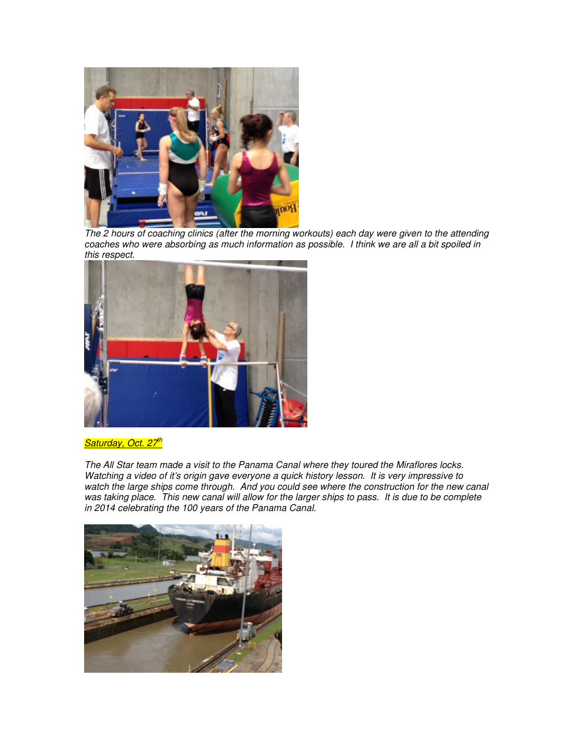

The 2 hours of coaching clinics (after the morning workouts) each day were given to the attending coaches who were absorbing as much information as possible. I think we are all a bit spoiled in this respect.



## Saturday, Oct. 27<sup>th</sup>

The All Star team made a visit to the Panama Canal where they toured the Miraflores locks. Watching a video of it's origin gave everyone a quick history lesson. It is very impressive to watch the large ships come through. And you could see where the construction for the new canal was taking place. This new canal will allow for the larger ships to pass. It is due to be complete was taking place. in 2014 celebrating the 100 years of the Panama Canal.